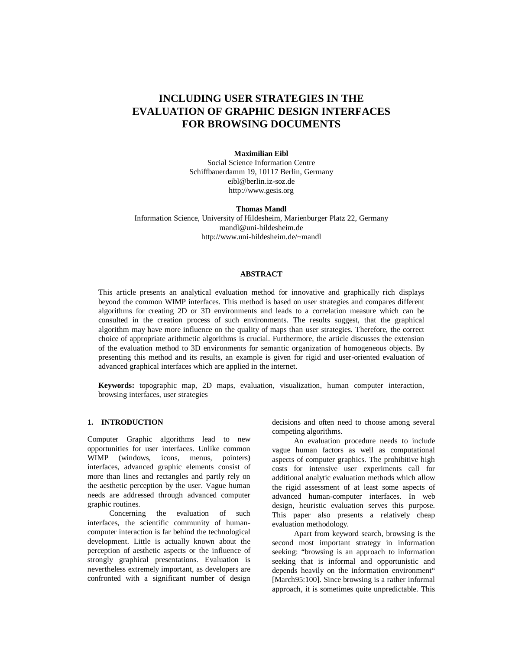# **INCLUDING USER STRATEGIES IN THE EVALUATION OF GRAPHIC DESIGN INTERFACES FOR BROWSING DOCUMENTS**

**Maximilian Eibl** Social Science Information Centre Schiffbauerdamm 19, 10117 Berlin, Germany eibl@berlin.iz-soz.de http://www.gesis.org

#### **Thomas Mandl**

Information Science, University of Hildesheim, Marienburger Platz 22, Germany mandl@uni-hildesheim.de http://www.uni-hildesheim.de/~mandl

# **ABSTRACT**

This article presents an analytical evaluation method for innovative and graphically rich displays beyond the common WIMP interfaces. This method is based on user strategies and compares different algorithms for creating 2D or 3D environments and leads to a correlation measure which can be consulted in the creation process of such environments. The results suggest, that the graphical algorithm may have more influence on the quality of maps than user strategies. Therefore, the correct choice of appropriate arithmetic algorithms is crucial. Furthermore, the article discusses the extension of the evaluation method to 3D environments for semantic organization of homogeneous objects. By presenting this method and its results, an example is given for rigid and user-oriented evaluation of advanced graphical interfaces which are applied in the internet.

**Keywords:** topographic map, 2D maps, evaluation, visualization, human computer interaction, browsing interfaces, user strategies

### **1. INTRODUCTION**

Computer Graphic algorithms lead to new opportunities for user interfaces. Unlike common WIMP (windows, icons, menus, pointers) interfaces, advanced graphic elements consist of more than lines and rectangles and partly rely on the aesthetic perception by the user. Vague human needs are addressed through advanced computer graphic routines.

Concerning the evaluation of such interfaces, the scientific community of humancomputer interaction is far behind the technological development. Little is actually known about the perception of aesthetic aspects or the influence of strongly graphical presentations. Evaluation is nevertheless extremely important, as developers are confronted with a significant number of design

decisions and often need to choose among several competing algorithms.

An evaluation procedure needs to include vague human factors as well as computational aspects of computer graphics. The prohibitive high costs for intensive user experiments call for additional analytic evaluation methods which allow the rigid assessment of at least some aspects of advanced human-computer interfaces. In web design, heuristic evaluation serves this purpose. This paper also presents a relatively cheap evaluation methodology.

Apart from keyword search, browsing is the second most important strategy in information seeking: "browsing is an approach to information seeking that is informal and opportunistic and depends heavily on the information environment" [March95:100]. Since browsing is a rather informal approach, it is sometimes quite unpredictable. This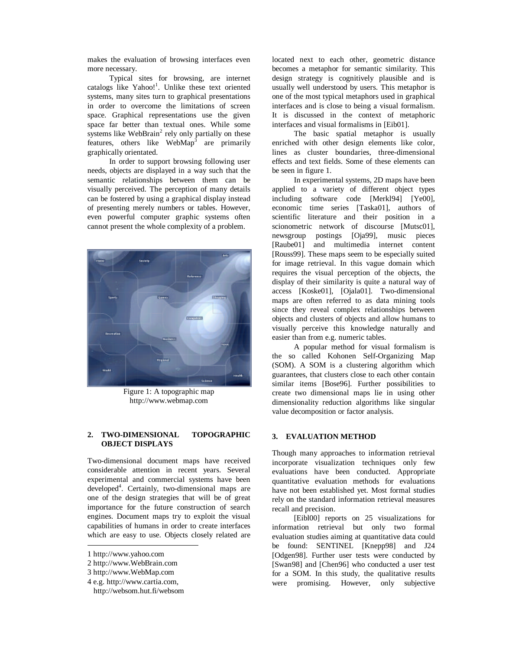makes the evaluation of browsing interfaces even more necessary.

Typical sites for browsing, are internet catalogs like Yahoo!<sup>1</sup>. Unlike these text oriented systems, many sites turn to graphical presentations in order to overcome the limitations of screen space. Graphical representations use the given space far better than textual ones. While some systems like WebBrain<sup>2</sup> rely only partially on these features, others like WebMap<sup>3</sup> are primarily graphically orientated.

In order to support browsing following user needs, objects are displayed in a way such that the semantic relationships between them can be visually perceived. The perception of many details can be fostered by using a graphical display instead of presenting merely numbers or tables. However, even powerful computer graphic systems often cannot present the whole complexity of a problem.



Figure 1: A topographic map http://www.webmap.com

#### **2. TWO-DIMENSIONAL TOPOGRAPHIC OBJECT DISPLAYS**

Two-dimensional document maps have received considerable attention in recent years. Several experimental and commercial systems have been developed<sup>4</sup>. Certainly, two-dimensional maps are one of the design strategies that will be of great importance for the future construction of search engines. Document maps try to exploit the visual capabilities of humans in order to create interfaces which are easy to use. Objects closely related are

l

located next to each other, geometric distance becomes a metaphor for semantic similarity. This design strategy is cognitively plausible and is usually well understood by users. This metaphor is one of the most typical metaphors used in graphical interfaces and is close to being a visual formalism. It is discussed in the context of metaphoric interfaces and visual formalisms in [Eib01].

The basic spatial metaphor is usually enriched with other design elements like color, lines as cluster boundaries, three-dimensional effects and text fields. Some of these elements can be seen in figure 1.

In experimental systems, 2D maps have been applied to a variety of different object types including software code [Merkl94] [Ye00], economic time series [Taska01], authors of scientific literature and their position in a scionometric network of discourse [Mutsc01], newsgroup postings [Oja99], music pieces [Raube01] and multimedia internet content [Rouss99]. These maps seem to be especially suited for image retrieval. In this vague domain which requires the visual perception of the objects, the display of their similarity is quite a natural way of access [Koske01], [Ojala01]. Two-dimensional maps are often referred to as data mining tools since they reveal complex relationships between objects and clusters of objects and allow humans to visually perceive this knowledge naturally and easier than from e.g. numeric tables.

A popular method for visual formalism is the so called Kohonen Self-Organizing Map (SOM). A SOM is a clustering algorithm which guarantees, that clusters close to each other contain similar items [Bose96]. Further possibilities to create two dimensional maps lie in using other dimensionality reduction algorithms like singular value decomposition or factor analysis.

## **3. EVALUATION METHOD**

Though many approaches to information retrieval incorporate visualization techniques only few evaluations have been conducted. Appropriate quantitative evaluation methods for evaluations have not been established yet. Most formal studies rely on the standard information retrieval measures recall and precision.

[Eibl00] reports on 25 visualizations for information retrieval but only two formal evaluation studies aiming at quantitative data could be found: SENTINEL [Knepp98] and J24 [Odgen98]. Further user tests were conducted by [Swan98] and [Chen96] who conducted a user test for a SOM. In this study, the qualitative results were promising. However, only subjective

<sup>1</sup> http://www.yahoo.com

<sup>2</sup> http://www.WebBrain.com

<sup>3</sup> http://www.WebMap.com

<sup>4</sup> e.g. http://www.cartia.com,

http://websom.hut.fi/websom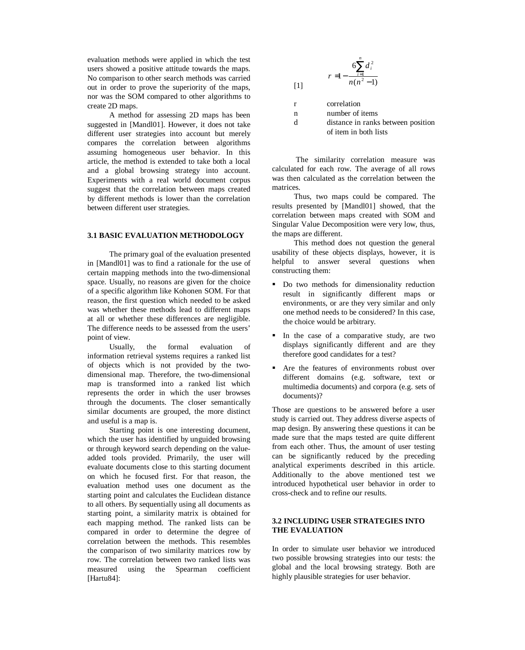evaluation methods were applied in which the test users showed a positive attitude towards the maps. No comparison to other search methods was carried out in order to prove the superiority of the maps, nor was the SOM compared to other algorithms to create 2D maps.

A method for assessing 2D maps has been suggested in [Mandl01]. However, it does not take different user strategies into account but merely compares the correlation between algorithms assuming homogeneous user behavior. In this article, the method is extended to take both a local and a global browsing strategy into account. Experiments with a real world document corpus suggest that the correlation between maps created by different methods is lower than the correlation between different user strategies.

### **3.1 BASIC EVALUATION METHODOLOGY**

The primary goal of the evaluation presented in [Mandl01] was to find a rationale for the use of certain mapping methods into the two-dimensional space. Usually, no reasons are given for the choice of a specific algorithm like Kohonen SOM. For that reason, the first question which needed to be asked was whether these methods lead to different maps at all or whether these differences are negligible. The difference needs to be assessed from the users' point of view.

Usually, the formal evaluation of information retrieval systems requires a ranked list of objects which is not provided by the twodimensional map. Therefore, the two-dimensional map is transformed into a ranked list which represents the order in which the user browses through the documents. The closer semantically similar documents are grouped, the more distinct and useful is a map is.

Starting point is one interesting document, which the user has identified by unguided browsing or through keyword search depending on the valueadded tools provided. Primarily, the user will evaluate documents close to this starting document on which he focused first. For that reason, the evaluation method uses one document as the starting point and calculates the Euclidean distance to all others. By sequentially using all documents as starting point, a similarity matrix is obtained for each mapping method. The ranked lists can be compared in order to determine the degree of correlation between the methods. This resembles the comparison of two similarity matrices row by row. The correlation between two ranked lists was measured using the Spearman coefficient [Hartu84]:

$$
r = 1 - \frac{6\sum_{i=1}^{n} d_i^2}{n(n^2 - 1)}
$$

r correlation

n number of items

d distance in ranks between position of item in both lists

 The similarity correlation measure was calculated for each row. The average of all rows was then calculated as the correlation between the matrices.

Thus, two maps could be compared. The results presented by [Mandl01] showed, that the correlation between maps created with SOM and Singular Value Decomposition were very low, thus, the maps are different.

This method does not question the general usability of these objects displays, however, it is helpful to answer several questions when constructing them:

- Do two methods for dimensionality reduction result in significantly different maps or environments, or are they very similar and only one method needs to be considered? In this case, the choice would be arbitrary.
- In the case of a comparative study, are two displays significantly different and are they therefore good candidates for a test?
- Are the features of environments robust over different domains (e.g. software, text or multimedia documents) and corpora (e.g. sets of documents)?

Those are questions to be answered before a user study is carried out. They address diverse aspects of map design. By answering these questions it can be made sure that the maps tested are quite different from each other. Thus, the amount of user testing can be significantly reduced by the preceding analytical experiments described in this article. Additionally to the above mentioned test we introduced hypothetical user behavior in order to cross-check and to refine our results.

# **3.2 INCLUDING USER STRATEGIES INTO THE EVALUATION**

In order to simulate user behavior we introduced two possible browsing strategies into our tests: the global and the local browsing strategy. Both are highly plausible strategies for user behavior.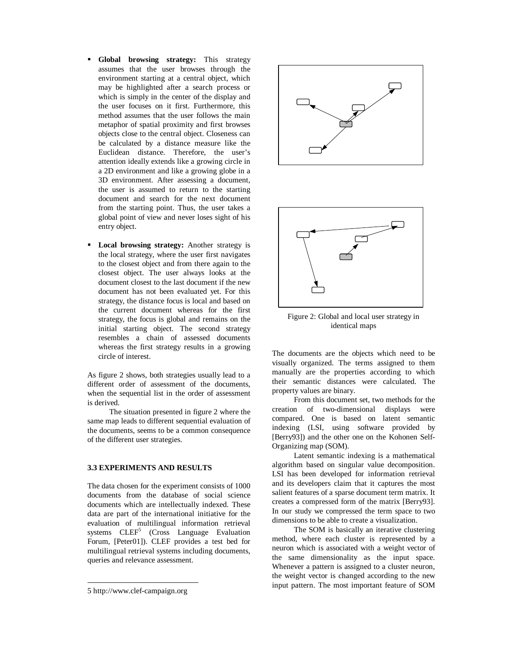- ß **Global browsing strategy:** This strategy assumes that the user browses through the environment starting at a central object, which may be highlighted after a search process or which is simply in the center of the display and the user focuses on it first. Furthermore, this method assumes that the user follows the main metaphor of spatial proximity and first browses objects close to the central object. Closeness can be calculated by a distance measure like the Euclidean distance. Therefore, the user's attention ideally extends like a growing circle in a 2D environment and like a growing globe in a 3D environment. After assessing a document, the user is assumed to return to the starting document and search for the next document from the starting point. Thus, the user takes a global point of view and never loses sight of his entry object.
- ß **Local browsing strategy:** Another strategy is the local strategy, where the user first navigates to the closest object and from there again to the closest object. The user always looks at the document closest to the last document if the new document has not been evaluated yet. For this strategy, the distance focus is local and based on the current document whereas for the first strategy, the focus is global and remains on the initial starting object. The second strategy resembles a chain of assessed documents whereas the first strategy results in a growing circle of interest.

As figure 2 shows, both strategies usually lead to a different order of assessment of the documents, when the sequential list in the order of assessment is derived.

The situation presented in figure 2 where the same map leads to different sequential evaluation of the documents, seems to be a common consequence of the different user strategies.

#### **3.3 EXPERIMENTS AND RESULTS**

The data chosen for the experiment consists of 1000 documents from the database of social science documents which are intellectually indexed. These data are part of the international initiative for the evaluation of multilingual information retrieval systems CLEF<sup>5</sup> (Cross Language Evaluation Forum, [Peter01]). CLEF provides a test bed for multilingual retrieval systems including documents, queries and relevance assessment.

l





Figure 2: Global and local user strategy in identical maps

The documents are the objects which need to be visually organized. The terms assigned to them manually are the properties according to which their semantic distances were calculated. The property values are binary.

From this document set, two methods for the creation of two-dimensional displays were compared. One is based on latent semantic indexing (LSI, using software provided by [Berry93]) and the other one on the Kohonen Self-Organizing map (SOM).

Latent semantic indexing is a mathematical algorithm based on singular value decomposition. LSI has been developed for information retrieval and its developers claim that it captures the most salient features of a sparse document term matrix. It creates a compressed form of the matrix [Berry93]. In our study we compressed the term space to two dimensions to be able to create a visualization.

The SOM is basically an iterative clustering method, where each cluster is represented by a neuron which is associated with a weight vector of the same dimensionality as the input space. Whenever a pattern is assigned to a cluster neuron, the weight vector is changed according to the new input pattern. The most important feature of SOM

<sup>5</sup> http://www.clef-campaign.org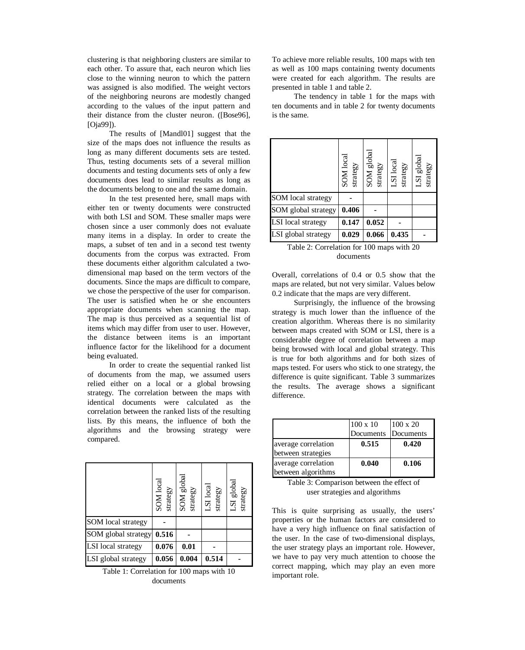clustering is that neighboring clusters are similar to each other. To assure that, each neuron which lies close to the winning neuron to which the pattern was assigned is also modified. The weight vectors of the neighboring neurons are modestly changed according to the values of the input pattern and their distance from the cluster neuron. ([Bose96], [Oja99]).

The results of [Mandl01] suggest that the size of the maps does not influence the results as long as many different documents sets are tested. Thus, testing documents sets of a several million documents and testing documents sets of only a few documents does lead to similar results as long as the documents belong to one and the same domain.

In the test presented here, small maps with either ten or twenty documents were constructed with both LSI and SOM. These smaller maps were chosen since a user commonly does not evaluate many items in a display. In order to create the maps, a subset of ten and in a second test twenty documents from the corpus was extracted. From these documents either algorithm calculated a twodimensional map based on the term vectors of the documents. Since the maps are difficult to compare, we chose the perspective of the user for comparison. The user is satisfied when he or she encounters appropriate documents when scanning the map. The map is thus perceived as a sequential list of items which may differ from user to user. However, the distance between items is an important influence factor for the likelihood for a document being evaluated.

In order to create the sequential ranked list of documents from the map, we assumed users relied either on a local or a global browsing strategy. The correlation between the maps with identical documents were calculated as the correlation between the ranked lists of the resulting lists. By this means, the influence of both the algorithms and the browsing strategy were compared.

|                     | SOM local<br>strategy | SOM global<br>strategy | LSI local<br>strategy | LSI global<br>strategy |
|---------------------|-----------------------|------------------------|-----------------------|------------------------|
| SOM local strategy  |                       |                        |                       |                        |
| SOM global strategy | 0.516                 |                        |                       |                        |
| LSI local strategy  | 0.076                 | 0.01                   |                       |                        |
| LSI global strategy | 0.056                 | 0.004                  | 0.514                 |                        |

Table 1: Correlation for 100 maps with 10 documents

To achieve more reliable results, 100 maps with ten as well as 100 maps containing twenty documents were created for each algorithm. The results are presented in table 1 and table 2.

The tendency in table 1 for the maps with ten documents and in table 2 for twenty documents is the same.

|                     | SOM loca<br>strategy | SOM global<br>strategy | LSI local<br>strategy | LSI global<br>strategy |
|---------------------|----------------------|------------------------|-----------------------|------------------------|
| SOM local strategy  |                      |                        |                       |                        |
| SOM global strategy | 0.406                |                        |                       |                        |
| LSI local strategy  | 0.147                | 0.052                  |                       |                        |
| LSI global strategy | 0.029                | 0.066                  | 0.435                 |                        |

Table 2: Correlation for 100 maps with 20 documents

Overall, correlations of 0.4 or 0.5 show that the maps are related, but not very similar. Values below 0.2 indicate that the maps are very different.

Surprisingly, the influence of the browsing strategy is much lower than the influence of the creation algorithm. Whereas there is no similarity between maps created with SOM or LSI, there is a considerable degree of correlation between a map being browsed with local and global strategy. This is true for both algorithms and for both sizes of maps tested. For users who stick to one strategy, the difference is quite significant. Table 3 summarizes the results. The average shows a significant difference.

|                                           | $100 \times 10$<br>Documents | $100 \times 20$<br>Documents |
|-------------------------------------------|------------------------------|------------------------------|
| average correlation<br>between strategies | 0.515                        | 0.420                        |
| average correlation<br>between algorithms | 0.040                        | 0.106                        |

Table 3: Comparison between the effect of user strategies and algorithms

This is quite surprising as usually, the users' properties or the human factors are considered to have a very high influence on final satisfaction of the user. In the case of two-dimensional displays, the user strategy plays an important role. However, we have to pay very much attention to choose the correct mapping, which may play an even more important role.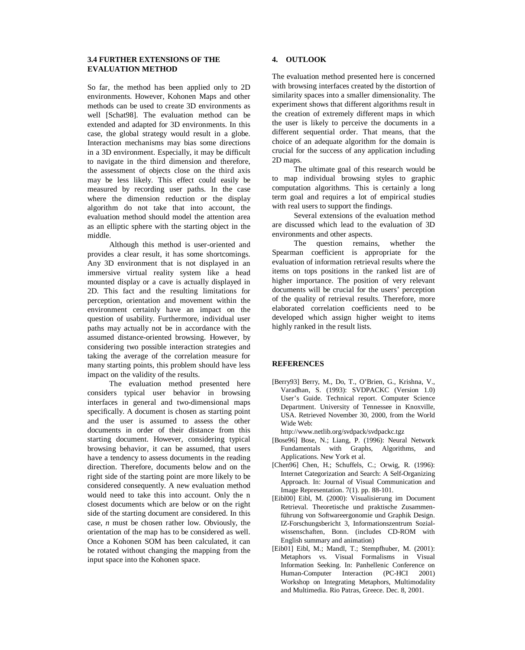### **3.4 FURTHER EXTENSIONS OF THE EVALUATION METHOD**

So far, the method has been applied only to 2D environments. However, Kohonen Maps and other methods can be used to create 3D environments as well [Schat98]. The evaluation method can be extended and adapted for 3D environments. In this case, the global strategy would result in a globe. Interaction mechanisms may bias some directions in a 3D environment. Especially, it may be difficult to navigate in the third dimension and therefore, the assessment of objects close on the third axis may be less likely. This effect could easily be measured by recording user paths. In the case where the dimension reduction or the display algorithm do not take that into account, the evaluation method should model the attention area as an elliptic sphere with the starting object in the middle.

Although this method is user-oriented and provides a clear result, it has some shortcomings. Any 3D environment that is not displayed in an immersive virtual reality system like a head mounted display or a cave is actually displayed in 2D. This fact and the resulting limitations for perception, orientation and movement within the environment certainly have an impact on the question of usability. Furthermore, individual user paths may actually not be in accordance with the assumed distance-oriented browsing. However, by considering two possible interaction strategies and taking the average of the correlation measure for many starting points, this problem should have less impact on the validity of the results.

The evaluation method presented here considers typical user behavior in browsing interfaces in general and two-dimensional maps specifically. A document is chosen as starting point and the user is assumed to assess the other documents in order of their distance from this starting document. However, considering typical browsing behavior, it can be assumed, that users have a tendency to assess documents in the reading direction. Therefore, documents below and on the right side of the starting point are more likely to be considered consequently. A new evaluation method would need to take this into account. Only the n closest documents which are below or on the right side of the starting document are considered. In this case, *n* must be chosen rather low. Obviously, the orientation of the map has to be considered as well. Once a Kohonen SOM has been calculated, it can be rotated without changing the mapping from the input space into the Kohonen space.

# **4. OUTLOOK**

The evaluation method presented here is concerned with browsing interfaces created by the distortion of similarity spaces into a smaller dimensionality. The experiment shows that different algorithms result in the creation of extremely different maps in which the user is likely to perceive the documents in a different sequential order. That means, that the choice of an adequate algorithm for the domain is crucial for the success of any application including 2D maps.

The ultimate goal of this research would be to map individual browsing styles to graphic computation algorithms. This is certainly a long term goal and requires a lot of empirical studies with real users to support the findings.

Several extensions of the evaluation method are discussed which lead to the evaluation of 3D environments and other aspects.

The question remains, whether the Spearman coefficient is appropriate for the evaluation of information retrieval results where the items on tops positions in the ranked list are of higher importance. The position of very relevant documents will be crucial for the users' perception of the quality of retrieval results. Therefore, more elaborated correlation coefficients need to be developed which assign higher weight to items highly ranked in the result lists.

#### **REFERENCES**

[Berry93] Berry, M., Do, T., O'Brien, G., Krishna, V., Varadhan, S. (1993): SVDPACKC (Version 1.0) User's Guide. Technical report. Computer Science Department. University of Tennessee in Knoxville, USA. Retrieved November 30, 2000, from the World Wide Web:

http://www.netlib.org/svdpack/svdpackc.tgz

- [Bose96] Bose, N.; Liang, P. (1996): Neural Network Fundamentals with Graphs, Algorithms, and Applications. New York et al.
- [Chen96] Chen, H.; Schuffels, C.; Orwig, R. (1996): Internet Categorization and Search: A Self-Organizing Approach. In: Journal of Visual Communication and Image Representation. 7(1). pp. 88-101.
- [Eibl00] Eibl, M. (2000): Visualisierung im Document Retrieval. Theoretische und praktische Zusammenführung von Softwareergonomie und Graphik Design. IZ-Forschungsbericht 3, Informationszentrum Sozialwissenschaften, Bonn. (includes CD-ROM with English summary and animation)
- [Eib01] Eibl, M.; Mandl, T.; Stempfhuber, M. (2001): Metaphors vs. Visual Formalisms in Visual Information Seeking. In: Panhellenic Conference on Human-Computer Interaction (PC-HCI 2001) Workshop on Integrating Metaphors, Multimodality and Multimedia. Rio Patras, Greece. Dec. 8, 2001.